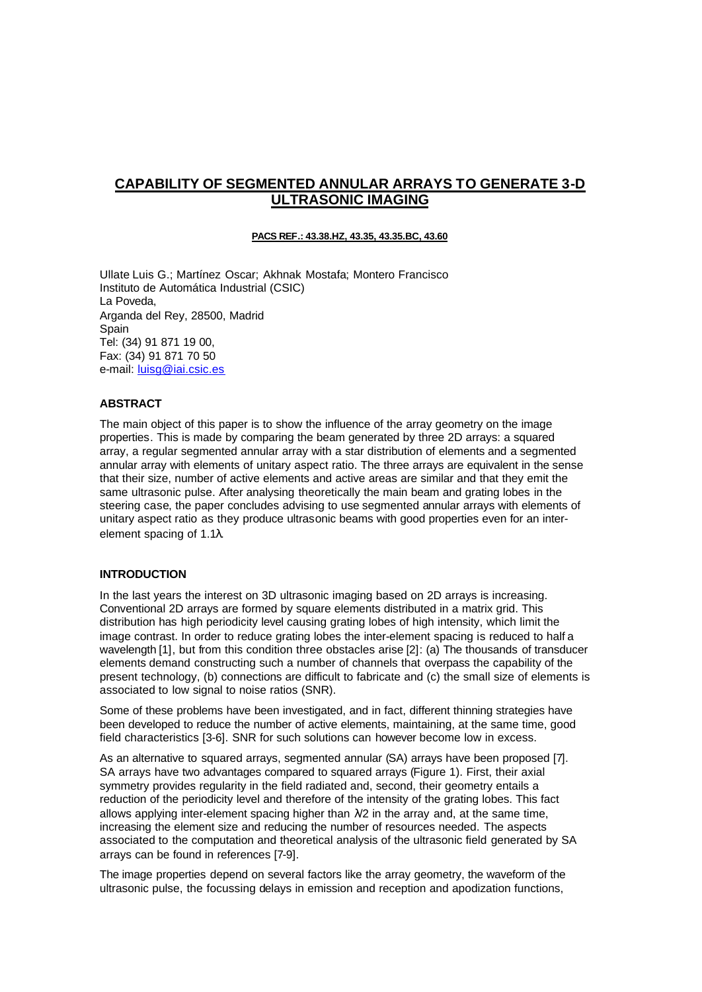# **CAPABILITY OF SEGMENTED ANNULAR ARRAYS TO GENERATE 3-D ULTRASONIC IMAGING**

# **PACS REF.: 43.38.HZ, 43.35, 43.35.BC, 43.60**

Ullate Luis G.; Martínez Oscar; Akhnak Mostafa; Montero Francisco Instituto de Automática Industrial (CSIC) La Poveda, Arganda del Rey, 28500, Madrid Spain Tel: (34) 91 871 19 00, Fax: (34) 91 871 70 50 e-mail: luisg@iai.csic.es

## **ABSTRACT**

The main object of this paper is to show the influence of the array geometry on the image properties. This is made by comparing the beam generated by three 2D arrays: a squared array, a regular segmented annular array with a star distribution of elements and a segmented annular array with elements of unitary aspect ratio. The three arrays are equivalent in the sense that their size, number of active elements and active areas are similar and that they emit the same ultrasonic pulse. After analysing theoretically the main beam and grating lobes in the steering case, the paper concludes advising to use segmented annular arrays with elements of unitary aspect ratio as they produce ultrasonic beams with good properties even for an interelement spacing of 1.1λ.

#### **INTRODUCTION**

In the last years the interest on 3D ultrasonic imaging based on 2D arrays is increasing. Conventional 2D arrays are formed by square elements distributed in a matrix grid. This distribution has high periodicity level causing grating lobes of high intensity, which limit the image contrast. In order to reduce grating lobes the inter-element spacing is reduced to half a wavelength [1], but from this condition three obstacles arise [2]: (a) The thousands of transducer elements demand constructing such a number of channels that overpass the capability of the present technology, (b) connections are difficult to fabricate and (c) the small size of elements is associated to low signal to noise ratios (SNR).

Some of these problems have been investigated, and in fact, different thinning strategies have been developed to reduce the number of active elements, maintaining, at the same time, good field characteristics [3-6]. SNR for such solutions can however become low in excess.

As an alternative to squared arrays, segmented annular (SA) arrays have been proposed [7]. SA arrays have two advantages compared to squared arrays (Figure 1). First, their axial symmetry provides regularity in the field radiated and, second, their geometry entails a reduction of the periodicity level and therefore of the intensity of the grating lobes. This fact allows applying inter-element spacing higher than  $\lambda/2$  in the array and, at the same time, increasing the element size and reducing the number of resources needed. The aspects associated to the computation and theoretical analysis of the ultrasonic field generated by SA arrays can be found in references [7-9].

The image properties depend on several factors like the array geometry, the waveform of the ultrasonic pulse, the focussing delays in emission and reception and apodization functions,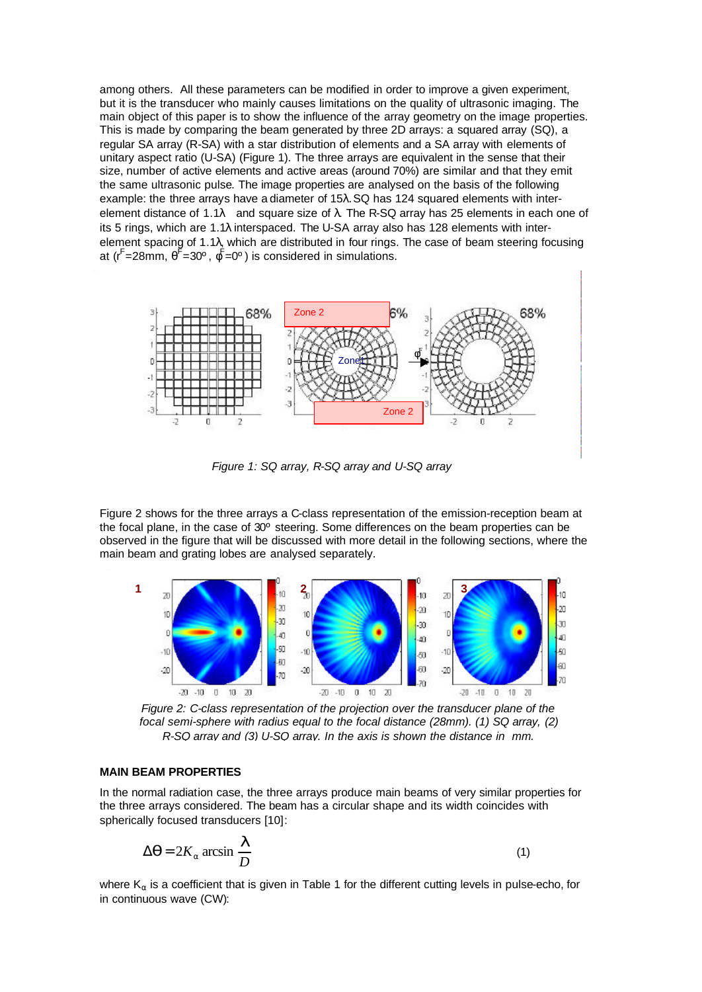among others. All these parameters can be modified in order to improve a given experiment, but it is the transducer who mainly causes limitations on the quality of ultrasonic imaging. The main object of this paper is to show the influence of the array geometry on the image properties. This is made by comparing the beam generated by three 2D arrays: a squared array (SQ), a regular SA array (R-SA) with a star distribution of elements and a SA array with elements of unitary aspect ratio (U-SA) (Figure 1). The three arrays are equivalent in the sense that their size, number of active elements and active areas (around 70%) are similar and that they emit the same ultrasonic pulse. The image properties are analysed on the basis of the following example: the three arrays have a diameter of 15λ. SQ has 124 squared elements with interelement distance of 1.1 $\lambda$  and square size of  $\lambda$ . The R-SQ array has 25 elements in each one of its 5 rings, which are 1.1λ interspaced. The U-SA array also has 128 elements with interelement spacing of 1.1λ, which are distributed in four rings. The case of beam steering focusing at (r<sup>F</sup>=28mm,  $\theta$ <sup>F</sup>=30°,  $\phi$ <sup>F</sup>=0°) is considered in simulations.



*Figure 1: SQ array, R-SQ array and U-SQ array*

Figure 2 shows for the three arrays a C-class representation of the emission-reception beam at the focal plane, in the case of 30º steering. Some differences on the beam properties can be observed in the figure that will be discussed with more detail in the following sections, where the main beam and grating lobes are analysed separately.



*Figure 2: C-class representation of the projection over the transducer plane of the focal semi-sphere with radius equal to the focal distance (28mm). (1) SQ array, (2) R-SQ array and (3) U-SQ array. In the axis is shown the distance in mm.*

## **MAIN BEAM PROPERTIES**

In the normal radiation case, the three arrays produce main beams of very similar properties for the three arrays considered. The beam has a circular shape and its width coincides with spherically focused transducers [10]:

$$
\Delta \mathbf{q} = 2K_a \arcsin \frac{\mathbf{I}}{D} \tag{1}
$$

where  $K_{\alpha}$  is a coefficient that is given in Table 1 for the different cutting levels in pulse-echo, for in continuous wave (CW):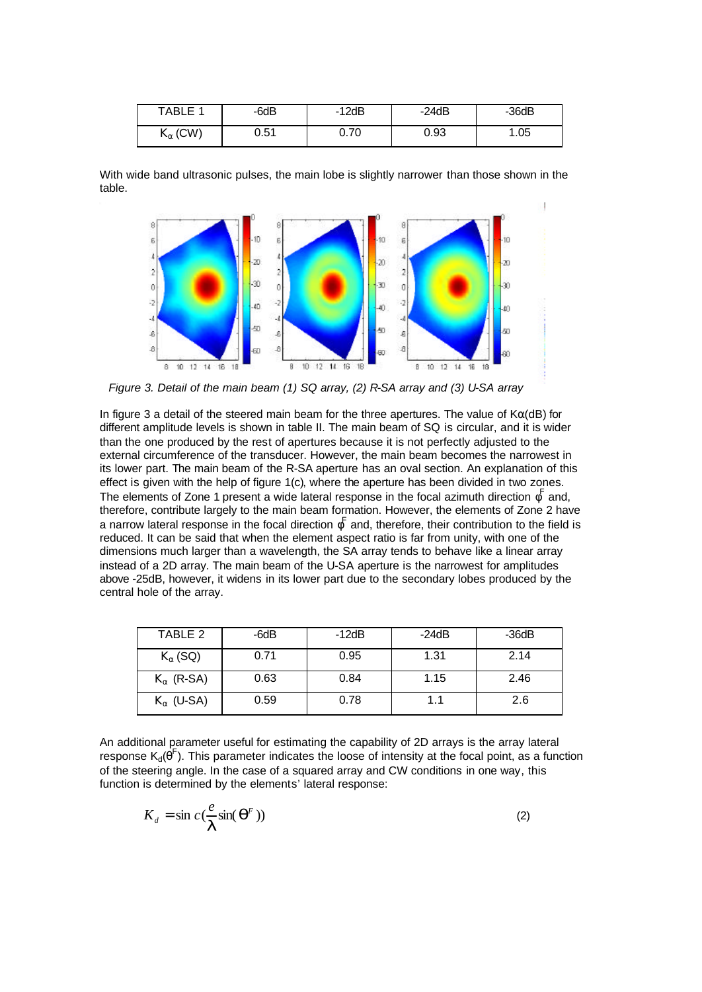| TABLE 1           | -6dB | 12dB-<br>- | $-24dB$ | 36dB |
|-------------------|------|------------|---------|------|
| $K_{\alpha}$ (CW) | 0.51 | 0.70       | 0.93    | .05  |

With wide band ultrasonic pulses, the main lobe is slightly narrower than those shown in the table.



*Figure 3. Detail of the main beam (1) SQ array, (2) R-SA array and (3) U-SA array*

In figure 3 a detail of the steered main beam for the three apertures. The value of  $K\alpha$ (dB) for different amplitude levels is shown in table II. The main beam of SQ is circular, and it is wider than the one produced by the rest of apertures because it is not perfectly adjusted to the external circumference of the transducer. However, the main beam becomes the narrowest in its lower part. The main beam of the R-SA aperture has an oval section. An explanation of this effect is given with the help of figure 1(c), where the aperture has been divided in two zones. The elements of Zone 1 present a wide lateral response in the focal azimuth direction  $\phi^F$  and, therefore, contribute largely to the main beam formation. However, the elements of Zone 2 have a narrow lateral response in the focal direction  $\phi^{\mathsf{F}}$  and, therefore, their contribution to the field is reduced. It can be said that when the element aspect ratio is far from unity, with one of the dimensions much larger than a wavelength, the SA array tends to behave like a linear array instead of a 2D array. The main beam of the U-SA aperture is the narrowest for amplitudes above -25dB, however, it widens in its lower part due to the secondary lobes produced by the central hole of the array.

| TABLE 2             | -6dB | $-12dB$ | $-24dB$ | $-36dB$ |
|---------------------|------|---------|---------|---------|
| $K_{\alpha}$ (SQ)   | 0.71 | 0.95    | 1.31    | 2.14    |
| $K_{\alpha}$ (R-SA) | 0.63 | 0.84    | 1.15    | 2.46    |
| $K_{\alpha}$ (U-SA) | 0.59 | 0.78    |         | 2.6     |

An additional parameter useful for estimating the capability of 2D arrays is the array lateral response  $K_d(\hat{\theta}^F)$ . This parameter indicates the loose of intensity at the focal point, as a function of the steering angle. In the case of a squared array and CW conditions in one way, this function is determined by the elements' lateral response:

$$
K_d = \sin c \left( \frac{e}{\mathbf{I}} \sin(\mathbf{q}^F) \right) \tag{2}
$$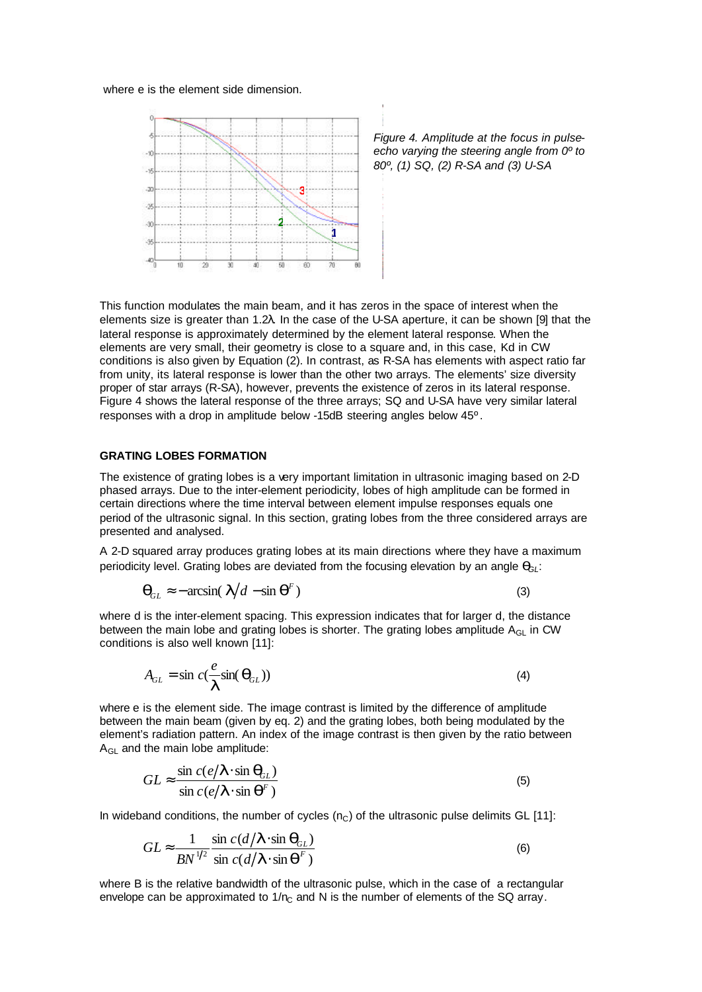### where e is the element side dimension.



*Figure 4. Amplitude at the focus in pulseecho varying the steering angle from 0º to 80º, (1) SQ, (2) R-SA and (3) U-SA*

This function modulates the main beam, and it has zeros in the space of interest when the elements size is greater than 1.2λ. In the case of the U-SA aperture, it can be shown [9] that the lateral response is approximately determined by the element lateral response. When the elements are very small, their geometry is close to a square and, in this case, Kd in CW conditions is also given by Equation (2). In contrast, as R-SA has elements with aspect ratio far from unity, its lateral response is lower than the other two arrays. The elements' size diversity proper of star arrays (R-SA), however, prevents the existence of zeros in its lateral response. Figure 4 shows the lateral response of the three arrays; SQ and U-SA have very similar lateral responses with a drop in amplitude below -15dB steering angles below 45º.

#### **GRATING LOBES FORMATION**

The existence of grating lobes is a very important limitation in ultrasonic imaging based on 2-D phased arrays. Due to the inter-element periodicity, lobes of high amplitude can be formed in certain directions where the time interval between element impulse responses equals one period of the ultrasonic signal. In this section, grating lobes from the three considered arrays are presented and analysed.

A 2-D squared array produces grating lobes at its main directions where they have a maximum periodicity level. Grating lobes are deviated from the focusing elevation by an angle  $q_{\beta}$ :

$$
\mathbf{q}_{GL} \approx -\arcsin(\mathbf{I}/d - \sin \mathbf{q}^F) \tag{3}
$$

where d is the inter-element spacing. This expression indicates that for larger d, the distance between the main lobe and grating lobes is shorter. The grating lobes amplitude  $A_{GL}$  in CW conditions is also well known [11]:

$$
A_{GL} = \sin c(\frac{e}{I}\sin(\mathbf{q}_{GL}))
$$
\n(4)

where e is the element side. The image contrast is limited by the difference of amplitude between the main beam (given by eq. 2) and the grating lobes, both being modulated by the element's radiation pattern. An index of the image contrast is then given by the ratio between A<sub>GL</sub> and the main lobe amplitude:

$$
GL \approx \frac{\sin c(e/\mathbf{I} \cdot \sin \mathbf{q}_{\scriptscriptstyle{SL}})}{\sin c(e/\mathbf{I} \cdot \sin \mathbf{q}^{\scriptscriptstyle{F}})}
$$
(5)

In wideband conditions, the number of cycles  $(n<sub>C</sub>)$  of the ultrasonic pulse delimits GL [11]:

$$
GL \approx \frac{1}{BN^{1/2}} \frac{\sin c(d/\mathbf{I} \cdot \sin \mathbf{q}_{GL})}{\sin c(d/\mathbf{I} \cdot \sin \mathbf{q}^F)}
$$
(6)

where B is the relative bandwidth of the ultrasonic pulse, which in the case of a rectangular envelope can be approximated to  $1/n<sub>C</sub>$  and N is the number of elements of the SQ array.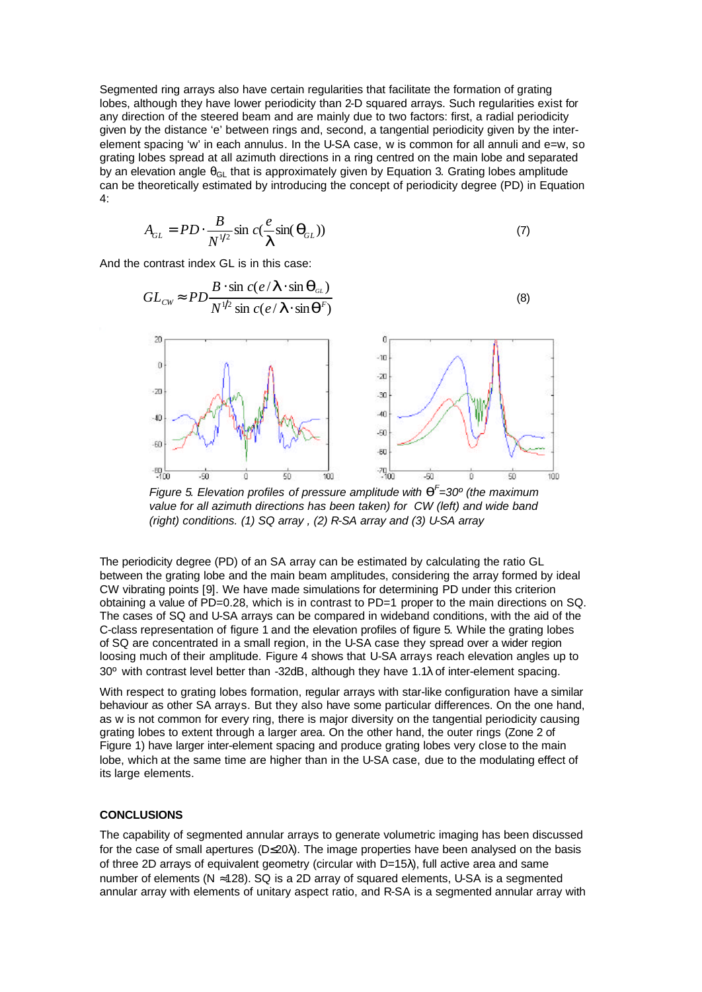Segmented ring arrays also have certain regularities that facilitate the formation of grating lobes, although they have lower periodicity than 2-D squared arrays. Such regularities exist for any direction of the steered beam and are mainly due to two factors: first, a radial periodicity given by the distance 'e' between rings and, second, a tangential periodicity given by the interelement spacing 'w' in each annulus. In the U-SA case, w is common for all annuli and e=w, so grating lobes spread at all azimuth directions in a ring centred on the main lobe and separated by an elevation angle  $\theta_{\text{GI}}$  that is approximately given by Equation 3. Grating lobes amplitude can be theoretically estimated by introducing the concept of periodicity degree (PD) in Equation 4:

$$
A_{GL} = PD \cdot \frac{B}{N^{1/2}} \sin c(\frac{e}{\mathbf{I}} \sin(\mathbf{q}_{GL}))
$$
\n(7)

And the contrast index GL is in this case:



*Figure 5. Elevation profiles of pressure amplitude with q F =30º (the maximum value for all azimuth directions has been taken) for CW (left) and wide band (right) conditions. (1) SQ array , (2) R-SA array and (3) U-SA array*

The periodicity degree (PD) of an SA array can be estimated by calculating the ratio GL between the grating lobe and the main beam amplitudes, considering the array formed by ideal CW vibrating points [9]. We have made simulations for determining PD under this criterion obtaining a value of PD=0.28, which is in contrast to PD=1 proper to the main directions on SQ. The cases of SQ and U-SA arrays can be compared in wideband conditions, with the aid of the C-class representation of figure 1 and the elevation profiles of figure 5. While the grating lobes of SQ are concentrated in a small region, in the U-SA case they spread over a wider region loosing much of their amplitude. Figure 4 shows that U-SA arrays reach elevation angles up to 30º with contrast level better than -32dB, although they have 1.1λ of inter-element spacing.

With respect to grating lobes formation, regular arrays with star-like configuration have a similar behaviour as other SA arrays. But they also have some particular differences. On the one hand, as w is not common for every ring, there is major diversity on the tangential periodicity causing grating lobes to extent through a larger area. On the other hand, the outer rings (Zone 2 of Figure 1) have larger inter-element spacing and produce grating lobes very close to the main lobe, which at the same time are higher than in the U-SA case, due to the modulating effect of its large elements.

### **CONCLUSIONS**

The capability of segmented annular arrays to generate volumetric imaging has been discussed for the case of small apertures (D≤20λ). The image properties have been analysed on the basis of three 2D arrays of equivalent geometry (circular with D=15λ), full active area and same number of elements ( $N \approx 128$ ). SQ is a 2D array of squared elements, U-SA is a segmented annular array with elements of unitary aspect ratio, and R-SA is a segmented annular array with